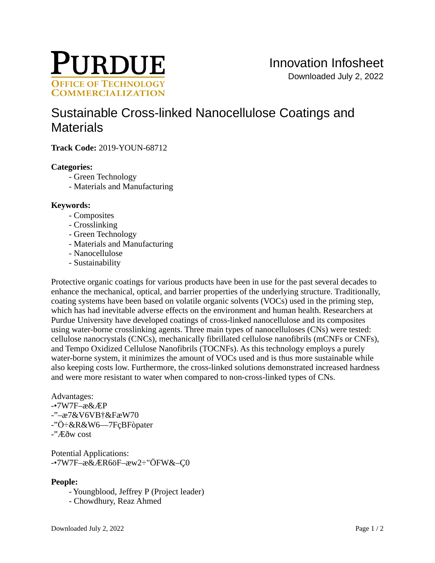

# Sustainable Cross-linked Nanocellulose Coatings and **Materials**

**Track Code: 2019-YOUN-68712** 

## **Categories:**

- Green Technology
- Materials and Manufacturing

## **Keywords:**

- Composites
- Crosslinking
- Green Technology
- Materials and Manufacturing
- Nanocellulose
- Sustainability

Protective organic coatings for various products have been in use for the past several decades to enhance the mechanical, optical, and barrier properties of the underlying structure. Traditionally, coating systems have been based on volatile organic solvents (VOCs) used in the priming step, which has had inevitable adverse effects on the environment and human health. Researchers at Purdue University have developed coatings of cross-linked nanocellulose and its composites using water-borne crosslinking agents. Three main types of nanocelluloses (CNs) were tested: cellulose nanocrystals (CNCs), mechanically fibrillated cellulose nanofibrils (mCNFs or CNFs), and Tempo Oxidized Cellulose Nanofibrils (TOCNFs). As this technology employs a purely water-borne system, it minimizes the amount of VOCs used and is thus more sustainable while also keeping costs low. Furthermore, the cross-linked solutions demonstrated increased hardness and were more resistant to water when compared to non-cross-linked types of CNs.

Advantages:  $-7W7F - x & EFP$  $-$ "- $x7&V$  6VB  $+&FxW70$ -" $\ddot{\text{O}}$ : &R &W6—7F çB Fò pater

 $\cdot$ " $\overline{F}$ ðw cost

**Potential Applications:** -•7W7F- $\alpha$  & ER 6ö F- $\alpha$ w2 ÷" Ö FW&-C0

# People:

- Youngblood, Jeffrey P (Project leader)
- Chowdhury, Reaz Ahmed